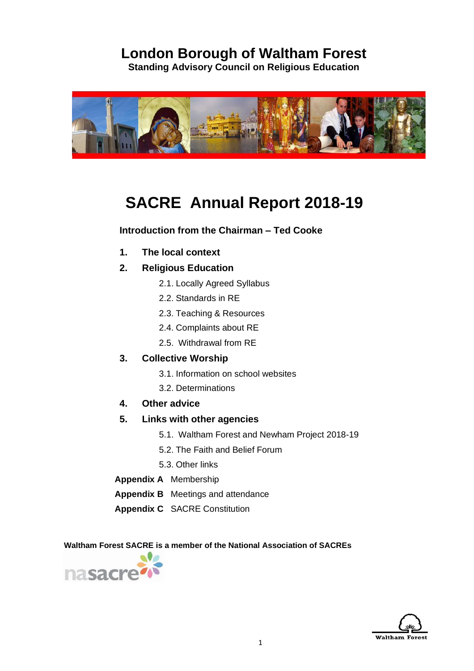# **London Borough of Waltham Forest**

**Standing Advisory Council on Religious Education**



# **SACRE Annual Report 2018-19**

### **Introduction from the Chairman – Ted Cooke**

- **1. The local context**
- **2. Religious Education**
	- 2.1. Locally Agreed Syllabus
	- 2.2. Standards in RE
	- 2.3. Teaching & Resources
	- 2.4. Complaints about RE
	- 2.5. Withdrawal from RE
- **3. Collective Worship**
	- 3.1. Information on school websites
	- 3.2. Determinations
- **4. Other advice**
- **5. Links with other agencies**
	- 5.1. Waltham Forest and Newham Project 2018-19
	- 5.2. The Faith and Belief Forum
	- 5.3. Other links
- **Appendix A** Membership
- **Appendix B** Meetings and attendance
- **Appendix C** SACRE Constitution

 **Waltham Forest SACRE is a member of the National Association of SACREs**



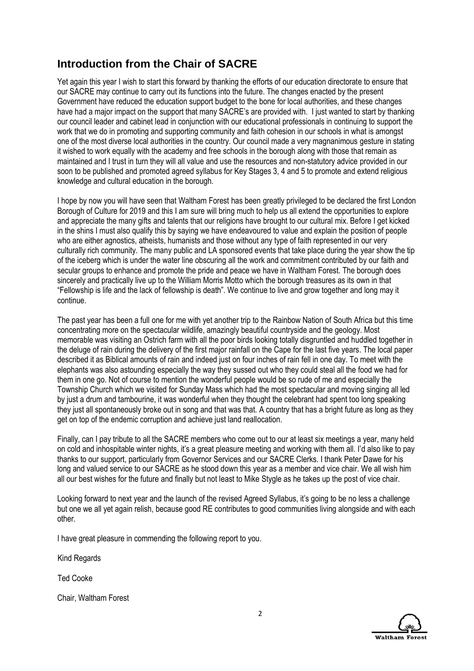## **Introduction from the Chair of SACRE**

Yet again this year I wish to start this forward by thanking the efforts of our education directorate to ensure that our SACRE may continue to carry out its functions into the future. The changes enacted by the present Government have reduced the education support budget to the bone for local authorities, and these changes have had a major impact on the support that many SACRE's are provided with. I just wanted to start by thanking our council leader and cabinet lead in conjunction with our educational professionals in continuing to support the work that we do in promoting and supporting community and faith cohesion in our schools in what is amongst one of the most diverse local authorities in the country. Our council made a very magnanimous gesture in stating it wished to work equally with the academy and free schools in the borough along with those that remain as maintained and I trust in turn they will all value and use the resources and non-statutory advice provided in our soon to be published and promoted agreed syllabus for Key Stages 3, 4 and 5 to promote and extend religious knowledge and cultural education in the borough.

I hope by now you will have seen that Waltham Forest has been greatly privileged to be declared the first London Borough of Culture for 2019 and this I am sure will bring much to help us all extend the opportunities to explore and appreciate the many gifts and talents that our religions have brought to our cultural mix. Before I get kicked in the shins I must also qualify this by saying we have endeavoured to value and explain the position of people who are either agnostics, atheists, humanists and those without any type of faith represented in our very culturally rich community. The many public and LA sponsored events that take place during the year show the tip of the iceberg which is under the water line obscuring all the work and commitment contributed by our faith and secular groups to enhance and promote the pride and peace we have in Waltham Forest. The borough does sincerely and practically live up to the William Morris Motto which the borough treasures as its own in that "Fellowship is life and the lack of fellowship is death". We continue to live and grow together and long may it continue.

The past year has been a full one for me with yet another trip to the Rainbow Nation of South Africa but this time concentrating more on the spectacular wildlife, amazingly beautiful countryside and the geology. Most memorable was visiting an Ostrich farm with all the poor birds looking totally disgruntled and huddled together in the deluge of rain during the delivery of the first major rainfall on the Cape for the last five years. The local paper described it as Biblical amounts of rain and indeed just on four inches of rain fell in one day. To meet with the elephants was also astounding especially the way they sussed out who they could steal all the food we had for them in one go. Not of course to mention the wonderful people would be so rude of me and especially the Township Church which we visited for Sunday Mass which had the most spectacular and moving singing all led by just a drum and tambourine, it was wonderful when they thought the celebrant had spent too long speaking they just all spontaneously broke out in song and that was that. A country that has a bright future as long as they get on top of the endemic corruption and achieve just land reallocation.

Finally, can I pay tribute to all the SACRE members who come out to our at least six meetings a year, many held on cold and inhospitable winter nights, it's a great pleasure meeting and working with them all. I'd also like to pay thanks to our support, particularly from Governor Services and our SACRE Clerks. I thank Peter Dawe for his long and valued service to our SACRE as he stood down this year as a member and vice chair. We all wish him all our best wishes for the future and finally but not least to Mike Stygle as he takes up the post of vice chair.

Looking forward to next year and the launch of the revised Agreed Syllabus, it's going to be no less a challenge but one we all yet again relish, because good RE contributes to good communities living alongside and with each other.

I have great pleasure in commending the following report to you.

Kind Regards

Ted Cooke

Chair, Waltham Forest

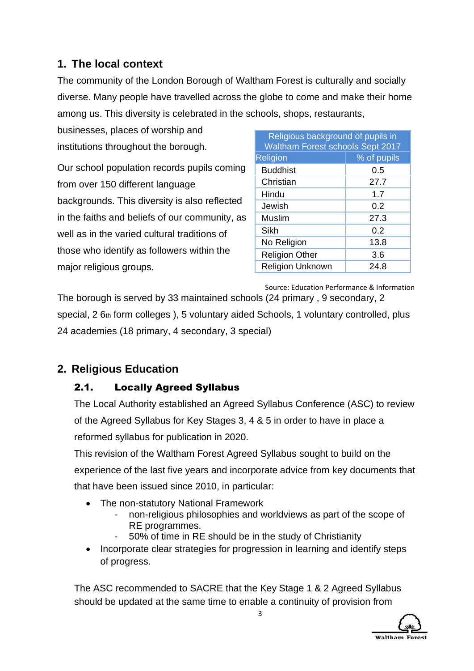## **1. The local context**

The community of the London Borough of Waltham Forest is culturally and socially diverse. Many people have travelled across the globe to come and make their home among us. This diversity is celebrated in the schools, shops, restaurants,

businesses, places of worship and institutions throughout the borough.

Our school population records pupils coming from over 150 different language backgrounds. This diversity is also reflected in the faiths and beliefs of our community, as well as in the varied cultural traditions of those who identify as followers within the major religious groups.

| Religious background of pupils in<br>Waltham Forest schools Sept 2017 |             |  |  |  |
|-----------------------------------------------------------------------|-------------|--|--|--|
| Religion                                                              | % of pupils |  |  |  |
| <b>Buddhist</b>                                                       | 0.5         |  |  |  |
| Christian                                                             | 27.7        |  |  |  |
| Hindu                                                                 | 1.7         |  |  |  |
| Jewish                                                                | 0.2         |  |  |  |
| Muslim                                                                | 27.3        |  |  |  |
| Sikh                                                                  | 0.2         |  |  |  |
| No Religion                                                           | 13.8        |  |  |  |
| <b>Religion Other</b>                                                 | 3.6         |  |  |  |
| <b>Religion Unknown</b>                                               | 24.8        |  |  |  |

 Source: Education Performance & Information The borough is served by 33 maintained schools (24 primary , 9 secondary, 2 special, 2 6th form colleges ), 5 voluntary aided Schools, 1 voluntary controlled, plus 24 academies (18 primary, 4 secondary, 3 special)

# **2. Religious Education**

## 2.1. Locally Agreed Syllabus

The Local Authority established an Agreed Syllabus Conference (ASC) to review of the Agreed Syllabus for Key Stages 3, 4 & 5 in order to have in place a reformed syllabus for publication in 2020.

This revision of the Waltham Forest Agreed Syllabus sought to build on the experience of the last five years and incorporate advice from key documents that that have been issued since 2010, in particular:

- The non-statutory National Framework
	- non-religious philosophies and worldviews as part of the scope of RE programmes.
	- 50% of time in RE should be in the study of Christianity
- Incorporate clear strategies for progression in learning and identify steps of progress.

The ASC recommended to SACRE that the Key Stage 1 & 2 Agreed Syllabus should be updated at the same time to enable a continuity of provision from

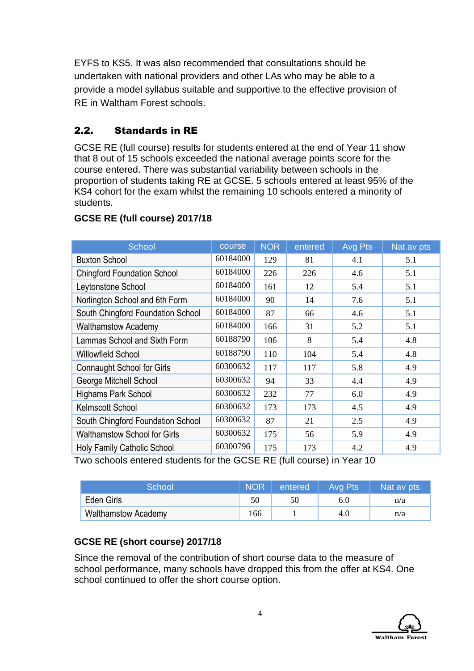EYFS to KS5. It was also recommended that consultations should be undertaken with national providers and other LAs who may be able to a provide a model syllabus suitable and supportive to the effective provision of RE in Waltham Forest schools.

## 2.2. Standards in RE

GCSE RE (full course) results for students entered at the end of Year 11 show that 8 out of 15 schools exceeded the national average points score for the course entered. There was substantial variability between schools in the proportion of students taking RE at GCSE. 5 schools entered at least 95% of the KS4 cohort for the exam whilst the remaining 10 schools entered a minority of students.

| School                              | course   | <b>NOR</b> | entered | <b>Avg Pts</b> | Nat av pts |
|-------------------------------------|----------|------------|---------|----------------|------------|
| <b>Buxton School</b>                | 60184000 | 129        | 81      | 4.1            | 5.1        |
| <b>Chingford Foundation School</b>  | 60184000 | 226        | 226     | 4.6            | 5.1        |
| Leytonstone School                  | 60184000 | 161        | 12      | 5.4            | 5.1        |
| Norlington School and 6th Form      | 60184000 | 90         | 14      | 7.6            | 5.1        |
| South Chingford Foundation School   | 60184000 | 87         | 66      | 4.6            | 5.1        |
| <b>Walthamstow Academy</b>          | 60184000 | 166        | 31      | 5.2            | 5.1        |
| Lammas School and Sixth Form        | 60188790 | 106        | 8       | 5.4            | 4.8        |
| Willowfield School                  | 60188790 | 110        | 104     | 5.4            | 4.8        |
| <b>Connaught School for Girls</b>   | 60300632 | 117        | 117     | 5.8            | 4.9        |
| George Mitchell School              | 60300632 | 94         | 33      | 4.4            | 4.9        |
| <b>Highams Park School</b>          | 60300632 | 232        | 77      | 6.0            | 4.9        |
| Kelmscott School                    | 60300632 | 173        | 173     | 4.5            | 4.9        |
| South Chingford Foundation School   | 60300632 | 87         | 21      | 2.5            | 4.9        |
| <b>Walthamstow School for Girls</b> | 60300632 | 175        | 56      | 5.9            | 4.9        |
| <b>Holy Family Catholic School</b>  | 60300796 | 175        | 173     | 4.2            | 4.9        |

## **GCSE RE (full course) 2017/18**

Two schools entered students for the GCSE RE (full course) in Year 10

| School                     | <b>NOR</b> | entered | Avg Pts | Nat av pts |
|----------------------------|------------|---------|---------|------------|
| Eden Girls                 |            | 50      | 6.0     | n/a        |
| <b>Walthamstow Academy</b> | 166        |         | 4.0     | n/a        |

## **GCSE RE (short course) 2017/18**

Since the removal of the contribution of short course data to the measure of school performance, many schools have dropped this from the offer at KS4. One school continued to offer the short course option.

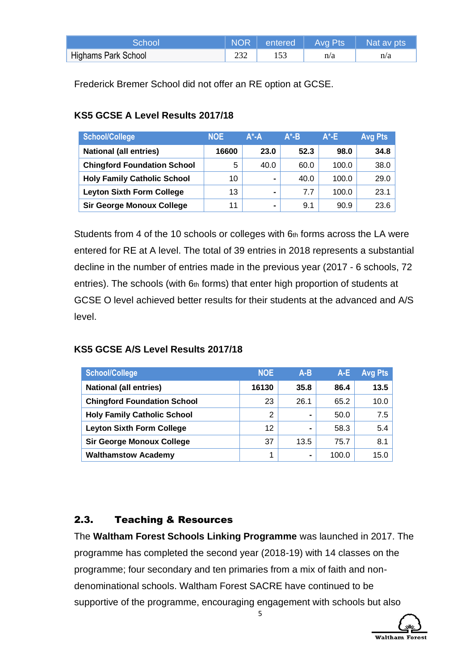| .School'            |  |     | NOR entered Avg Pts Nat av pts |
|---------------------|--|-----|--------------------------------|
| Highams Park School |  | n/a | n/a                            |

Frederick Bremer School did not offer an RE option at GCSE.

## **KS5 GCSE A Level Results 2017/18**

| <b>School/College</b>              | <b>NOE</b> | $A^*$ -A       | $A^*$ -B | $A^*E$ | <b>Avg Pts</b> |
|------------------------------------|------------|----------------|----------|--------|----------------|
| <b>National (all entries)</b>      | 16600      | 23.0           | 52.3     | 98.0   | 34.8           |
| <b>Chingford Foundation School</b> | 5          | 40.0           | 60.0     | 100.0  | 38.0           |
| <b>Holy Family Catholic School</b> | 10         | $\blacksquare$ | 40.0     | 100.0  | 29.0           |
| <b>Leyton Sixth Form College</b>   | 13         | $\blacksquare$ | 7.7      | 100.0  | 23.1           |
| <b>Sir George Monoux College</b>   | 11         | $\blacksquare$ | 9.1      | 90.9   | 23.6           |

Students from 4 of the 10 schools or colleges with 6th forms across the LA were entered for RE at A level. The total of 39 entries in 2018 represents a substantial decline in the number of entries made in the previous year (2017 - 6 schools, 72 entries). The schools (with  $6<sub>th</sub>$  forms) that enter high proportion of students at GCSE O level achieved better results for their students at the advanced and A/S level.

## **KS5 GCSE A/S Level Results 2017/18**

| <b>School/College</b>              | <b>NOE</b> | $A-B$ | A-E   | <b>Avg Pts</b> |
|------------------------------------|------------|-------|-------|----------------|
| <b>National (all entries)</b>      | 16130      | 35.8  | 86.4  | 13.5           |
| <b>Chingford Foundation School</b> | 23         | 26.1  | 65.2  | 10.0           |
| <b>Holy Family Catholic School</b> | 2          |       | 50.0  | 7.5            |
| <b>Leyton Sixth Form College</b>   | 12         | -     | 58.3  | 5.4            |
| <b>Sir George Monoux College</b>   | 37         | 13.5  | 75.7  | 8.1            |
| <b>Walthamstow Academy</b>         | 1          |       | 100.0 | 15.0           |

## 2.3. Teaching & Resources

The **Waltham Forest Schools Linking Programme** was launched in 2017. The programme has completed the second year (2018-19) with 14 classes on the programme; four secondary and ten primaries from a mix of faith and nondenominational schools. Waltham Forest SACRE have continued to be supportive of the programme, encouraging engagement with schools but also

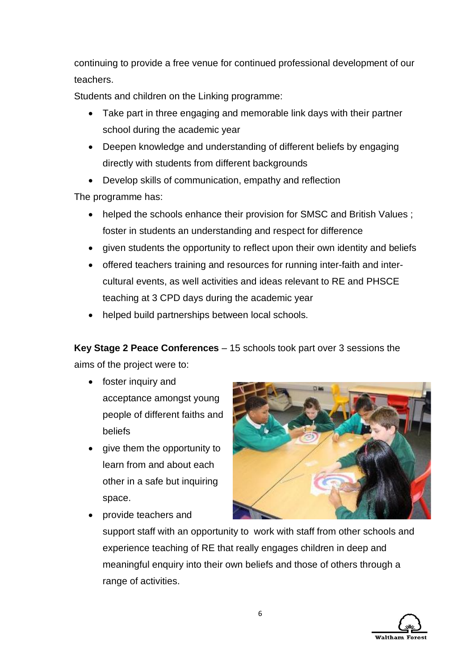continuing to provide a free venue for continued professional development of our teachers.

Students and children on the Linking programme:

- Take part in three engaging and memorable link days with their partner school during the academic year
- Deepen knowledge and understanding of different beliefs by engaging directly with students from different backgrounds
- Develop skills of communication, empathy and reflection

The programme has:

- helped the schools enhance their provision for SMSC and British Values; foster in students an understanding and respect for difference
- given students the opportunity to reflect upon their own identity and beliefs
- offered teachers training and resources for running inter-faith and intercultural events, as well activities and ideas relevant to RE and PHSCE teaching at 3 CPD days during the academic year
- helped build partnerships between local schools.

**Key Stage 2 Peace Conferences** – 15 schools took part over 3 sessions the aims of the project were to:

- foster inquiry and acceptance amongst young people of different faiths and beliefs
- give them the opportunity to learn from and about each other in a safe but inquiring space.



• provide teachers and

support staff with an opportunity to work with staff from other schools and experience teaching of RE that really engages children in deep and meaningful enquiry into their own beliefs and those of others through a range of activities.

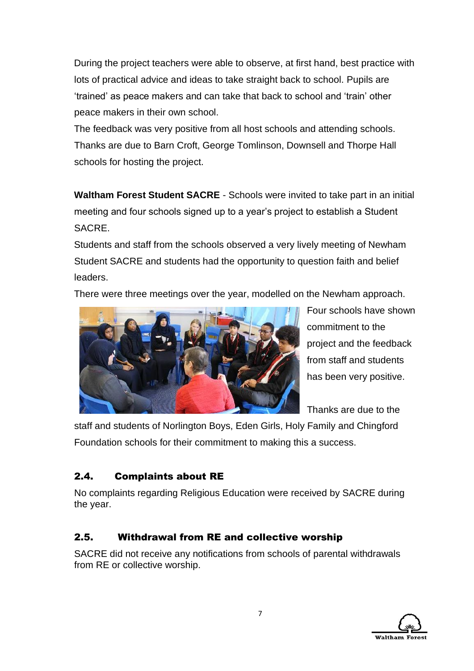During the project teachers were able to observe, at first hand, best practice with lots of practical advice and ideas to take straight back to school. Pupils are 'trained' as peace makers and can take that back to school and 'train' other peace makers in their own school.

The feedback was very positive from all host schools and attending schools. Thanks are due to Barn Croft, George Tomlinson, Downsell and Thorpe Hall schools for hosting the project.

**Waltham Forest Student SACRE** - Schools were invited to take part in an initial meeting and four schools signed up to a year's project to establish a Student SACRE.

Students and staff from the schools observed a very lively meeting of Newham Student SACRE and students had the opportunity to question faith and belief leaders.

There were three meetings over the year, modelled on the Newham approach.



Four schools have shown commitment to the project and the feedback from staff and students has been very positive.

Thanks are due to the

staff and students of Norlington Boys, Eden Girls, Holy Family and Chingford Foundation schools for their commitment to making this a success.

## 2.4. Complaints about RE

No complaints regarding Religious Education were received by SACRE during the year.

## 2.5. Withdrawal from RE and collective worship

SACRE did not receive any notifications from schools of parental withdrawals from RE or collective worship.

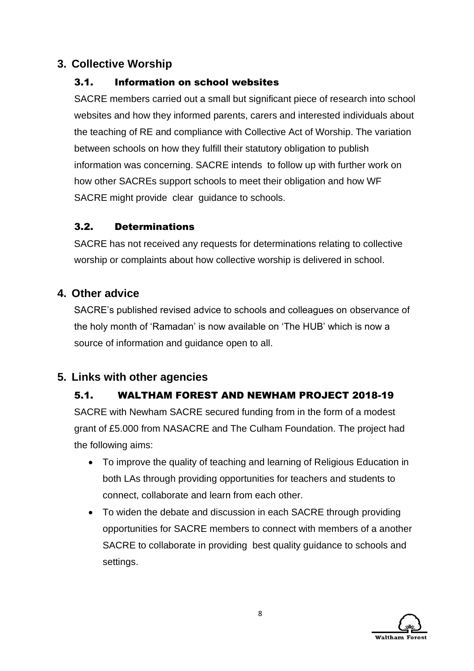## **3. Collective Worship**

## 3.1. Information on school websites

SACRE members carried out a small but significant piece of research into school websites and how they informed parents, carers and interested individuals about the teaching of RE and compliance with Collective Act of Worship. The variation between schools on how they fulfill their statutory obligation to publish information was concerning. SACRE intends to follow up with further work on how other SACREs support schools to meet their obligation and how WF SACRE might provide clear guidance to schools.

## 3.2. Determinations

SACRE has not received any requests for determinations relating to collective worship or complaints about how collective worship is delivered in school.

## **4. Other advice**

SACRE's published revised advice to schools and colleagues on observance of the holy month of 'Ramadan' is now available on 'The HUB' which is now a source of information and guidance open to all.

## **5. Links with other agencies**

## 5.1. WALTHAM FOREST AND NEWHAM PROJECT 2018-19

SACRE with Newham SACRE secured funding from in the form of a modest grant of £5.000 from NASACRE and The Culham Foundation. The project had the following aims:

- To improve the quality of teaching and learning of Religious Education in both LAs through providing opportunities for teachers and students to connect, collaborate and learn from each other.
- To widen the debate and discussion in each SACRE through providing opportunities for SACRE members to connect with members of a another SACRE to collaborate in providing best quality guidance to schools and settings.

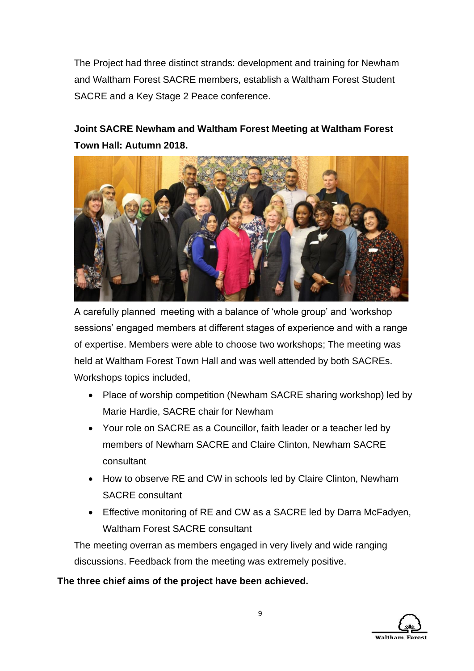The Project had three distinct strands: development and training for Newham and Waltham Forest SACRE members, establish a Waltham Forest Student SACRE and a Key Stage 2 Peace conference.

# **Joint SACRE Newham and Waltham Forest Meeting at Waltham Forest Town Hall: Autumn 2018.**



A carefully planned meeting with a balance of 'whole group' and 'workshop sessions' engaged members at different stages of experience and with a range of expertise. Members were able to choose two workshops; The meeting was held at Waltham Forest Town Hall and was well attended by both SACREs. Workshops topics included,

- Place of worship competition (Newham SACRE sharing workshop) led by Marie Hardie, SACRE chair for Newham
- Your role on SACRE as a Councillor, faith leader or a teacher led by members of Newham SACRE and Claire Clinton, Newham SACRE consultant
- How to observe RE and CW in schools led by Claire Clinton, Newham SACRE consultant
- Effective monitoring of RE and CW as a SACRE led by Darra McFadyen, Waltham Forest SACRE consultant

The meeting overran as members engaged in very lively and wide ranging discussions. Feedback from the meeting was extremely positive.

## **The three chief aims of the project have been achieved.**

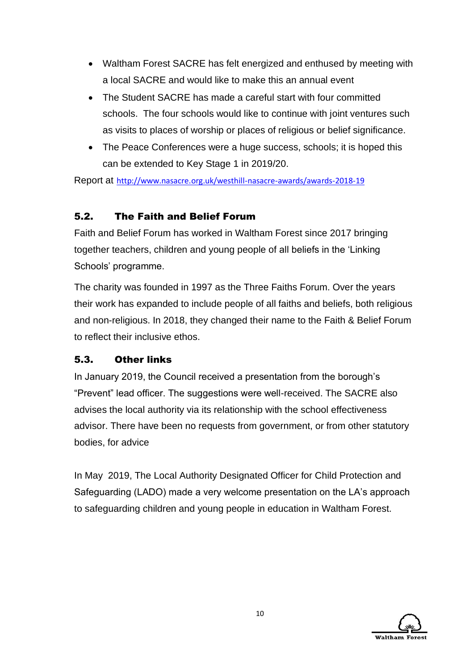- Waltham Forest SACRE has felt energized and enthused by meeting with a local SACRE and would like to make this an annual event
- The Student SACRE has made a careful start with four committed schools. The four schools would like to continue with joint ventures such as visits to places of worship or places of religious or belief significance.
- The Peace Conferences were a huge success, schools; it is hoped this can be extended to Key Stage 1 in 2019/20.

Report at <http://www.nasacre.org.uk/westhill-nasacre-awards/awards-2018-19>

## 5.2. The Faith and Belief Forum

Faith and Belief Forum has worked in Waltham Forest since 2017 bringing together teachers, children and young people of all beliefs in the 'Linking Schools' programme.

The charity was founded in 1997 as the Three Faiths Forum. Over the years their work has expanded to include people of all faiths and beliefs, both religious and non-religious. In 2018, they changed their name to the Faith & Belief Forum to reflect their inclusive ethos.

## 5.3. Other links

In January 2019, the Council received a presentation from the borough's "Prevent" lead officer. The suggestions were well-received. The SACRE also advises the local authority via its relationship with the school effectiveness advisor. There have been no requests from government, or from other statutory bodies, for advice

In May 2019, The Local Authority Designated Officer for Child Protection and Safeguarding (LADO) made a very welcome presentation on the LA's approach to safeguarding children and young people in education in Waltham Forest.

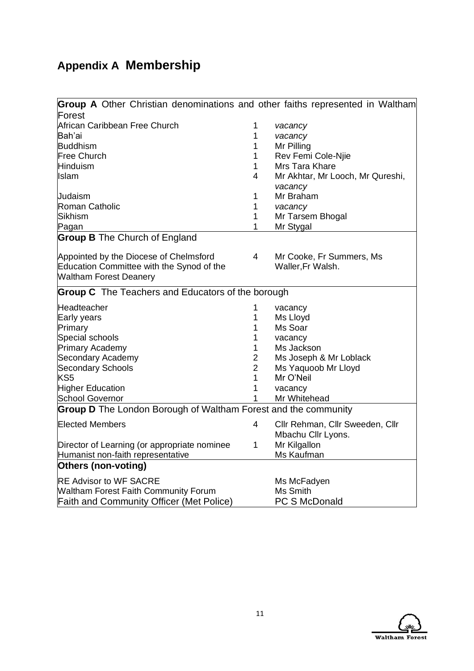# **Appendix A Membership**

| <b>Group A</b> Other Christian denominations and other faiths represented in Waltham |                |                                  |
|--------------------------------------------------------------------------------------|----------------|----------------------------------|
| Forest                                                                               |                |                                  |
| African Caribbean Free Church                                                        | 1              | vacancy                          |
| Bah'ai                                                                               | 1              | vacancy                          |
| <b>Buddhism</b>                                                                      | 1              | Mr Pilling                       |
| Free Church                                                                          | 1              | Rev Femi Cole-Njie               |
| Hinduism                                                                             | 1              | Mrs Tara Khare                   |
| Ilslam                                                                               | 4              | Mr Akhtar, Mr Looch, Mr Qureshi, |
|                                                                                      |                | vacancy                          |
| Judaism                                                                              | 1              | Mr Braham                        |
| Roman Catholic                                                                       | 1              | vacancy                          |
| Sikhism                                                                              | 1              | Mr Tarsem Bhogal                 |
| Pagan                                                                                | 1              | Mr Stygal                        |
| <b>Group B</b> The Church of England                                                 |                |                                  |
| Appointed by the Diocese of Chelmsford                                               | $\overline{4}$ | Mr Cooke, Fr Summers, Ms         |
| Education Committee with the Synod of the                                            |                | Waller, Fr Walsh.                |
| <b>Waltham Forest Deanery</b>                                                        |                |                                  |
|                                                                                      |                |                                  |
| <b>Group C</b> The Teachers and Educators of the borough                             |                |                                  |
| Headteacher                                                                          | 1              | vacancy                          |
| Early years                                                                          | 1              | Ms Lloyd                         |
| Primary                                                                              | 1              | Ms Soar                          |
| Special schools                                                                      | 1              | vacancy                          |
| <b>Primary Academy</b>                                                               | 1              | Ms Jackson                       |
| Secondary Academy                                                                    | $\overline{2}$ | Ms Joseph & Mr Loblack           |
| <b>Secondary Schools</b>                                                             | $\overline{2}$ | Ms Yaquoob Mr Lloyd              |
| KS <sub>5</sub>                                                                      | 1              | Mr O'Neil                        |
| <b>Higher Education</b>                                                              | 1              | vacancy                          |
| <b>School Governor</b>                                                               | 1              | Mr Whitehead                     |
| <b>Group D</b> The London Borough of Waltham Forest and the community                |                |                                  |
| Elected Members                                                                      | 4              | Cllr Rehman, Cllr Sweeden, Cllr  |
|                                                                                      |                | Mbachu Cllr Lyons.               |
| Director of Learning (or appropriate nominee                                         | 1              | Mr Kilgallon                     |
| Humanist non-faith representative                                                    |                | Ms Kaufman                       |
| Others (non-voting)                                                                  |                |                                  |
| <b>RE Advisor to WF SACRE</b>                                                        |                | Ms McFadyen                      |
| <b>Waltham Forest Faith Community Forum</b>                                          |                | <b>Ms Smith</b>                  |
| <b>Faith and Community Officer (Met Police)</b>                                      |                | <b>PC S McDonald</b>             |

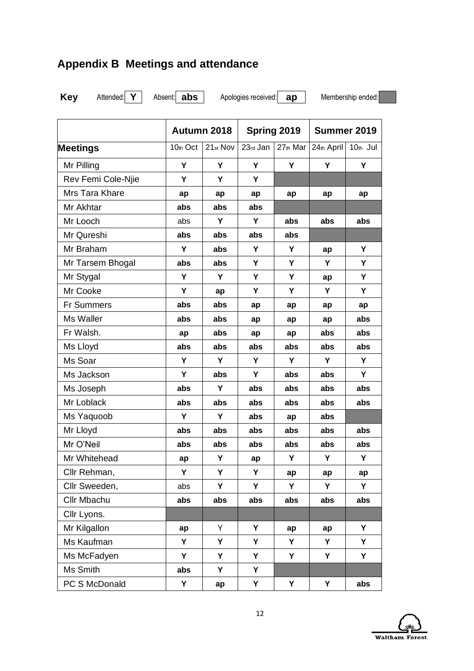# **Appendix B Meetings and attendance**

**Key** Attended: **Y** Absent: **abs** Apologies received: **ap** Membership ended:

|                    | Autumn 2018 |          | Spring 2019 |          | Summer 2019 |          |
|--------------------|-------------|----------|-------------|----------|-------------|----------|
| <b>Meetings</b>    | 10th Oct    | 21st Nov | 23rd Jan    | 27th Mar | 24th April  | 10th Jul |
| Mr Pilling         | Υ           | Υ        | Y           | Y        | Y           | Y        |
| Rev Femi Cole-Njie | Y           | Y        | Y           |          |             |          |
| Mrs Tara Khare     | ap          | ap       | ap          | ap       | ap          | ap       |
| Mr Akhtar          | abs         | abs      | abs         |          |             |          |
| Mr Looch           | abs         | Y        | Y           | abs      | abs         | abs      |
| Mr Qureshi         | abs         | abs      | abs         | abs      |             |          |
| Mr Braham          | Y           | abs      | Y           | Y        | ap          | Y        |
| Mr Tarsem Bhogal   | abs         | abs      | Y           | Y        | Y           | Υ        |
| Mr Stygal          | Y           | Υ        | Y           | Υ        | ap          | Y        |
| Mr Cooke           | Y           | ap       | Υ           | Υ        | Υ           | Υ        |
| <b>Fr Summers</b>  | abs         | abs      | ap          | ap       | ap          | ap       |
| Ms Waller          | abs         | abs      | ap          | ap       | ap          | abs      |
| Fr Walsh.          | ap          | abs      | ap          | ap       | abs         | abs      |
| Ms Lloyd           | abs         | abs      | abs         | abs      | abs         | abs      |
| Ms Soar            | Y           | Y        | Y           | Y        | Y           | Y        |
| Ms Jackson         | Y           | abs      | Y           | abs      | abs         | Y        |
| Ms Joseph          | abs         | Y        | abs         | abs      | abs         | abs      |
| Mr Loblack         | abs         | abs      | abs         | abs      | abs         | abs      |
| Ms Yaquoob         | Y           | Υ        | abs         | ap       | abs         |          |
| Mr Lloyd           | abs         | abs      | abs         | abs      | abs         | abs      |
| Mr O'Neil          | abs         | abs      | abs         | abs      | abs         | abs      |
| Mr Whitehead       | ap          | Υ        | ap          | Υ        | Υ           | Υ        |
| Cllr Rehman,       | Υ           | Υ        | Υ           | ap       | ap          | ap       |
| Cllr Sweeden,      | abs         | Υ        | Y           | Υ        | Υ           | Υ        |
| Cllr Mbachu        | abs         | abs      | abs         | abs      | abs         | abs      |
| Cllr Lyons.        |             |          |             |          |             |          |
| Mr Kilgallon       | ap          | Υ        | Y           | ap       | ap          | Y        |
| Ms Kaufman         | Y           | Υ        | Y           | Y        | Υ           | Y        |
| Ms McFadyen        | Y           | Υ        | Υ           | Υ        | Υ           | Υ        |
| Ms Smith           | abs         | Υ        | Υ           |          |             |          |
| PC S McDonald      | Y           | ap       | Y           | Y        | Υ           | abs      |

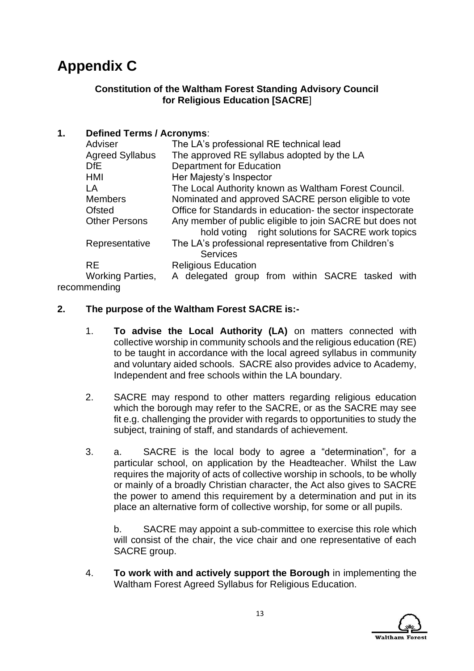# **Appendix C**

### **Constitution of the Waltham Forest Standing Advisory Council for Religious Education [SACRE**]

### **1. Defined Terms / Acronyms**:

| Adviser                 | The LA's professional RE technical lead                                                                       |  |  |
|-------------------------|---------------------------------------------------------------------------------------------------------------|--|--|
| <b>Agreed Syllabus</b>  | The approved RE syllabus adopted by the LA                                                                    |  |  |
| D <sub>fE</sub>         | <b>Department for Education</b>                                                                               |  |  |
| HMI                     | Her Majesty's Inspector                                                                                       |  |  |
| LA                      | The Local Authority known as Waltham Forest Council.                                                          |  |  |
| <b>Members</b>          | Nominated and approved SACRE person eligible to vote                                                          |  |  |
| <b>Ofsted</b>           | Office for Standards in education- the sector inspectorate                                                    |  |  |
| <b>Other Persons</b>    | Any member of public eligible to join SACRE but does not<br>hold voting right solutions for SACRE work topics |  |  |
| Representative          | The LA's professional representative from Children's<br><b>Services</b>                                       |  |  |
| <b>RE</b>               | <b>Religious Education</b>                                                                                    |  |  |
| <b>Working Parties,</b> | A delegated group from within SACRE tasked with                                                               |  |  |
| ammonding               |                                                                                                               |  |  |

recommending

### **2. The purpose of the Waltham Forest SACRE is:-**

- 1. **To advise the Local Authority (LA)** on matters connected with collective worship in community schools and the religious education (RE) to be taught in accordance with the local agreed syllabus in community and voluntary aided schools. SACRE also provides advice to Academy, Independent and free schools within the LA boundary.
- 2. SACRE may respond to other matters regarding religious education which the borough may refer to the SACRE, or as the SACRE may see fit e.g. challenging the provider with regards to opportunities to study the subject, training of staff, and standards of achievement.
- 3. a. SACRE is the local body to agree a "determination", for a particular school, on application by the Headteacher. Whilst the Law requires the majority of acts of collective worship in schools, to be wholly or mainly of a broadly Christian character, the Act also gives to SACRE the power to amend this requirement by a determination and put in its place an alternative form of collective worship, for some or all pupils.

b. SACRE may appoint a sub-committee to exercise this role which will consist of the chair, the vice chair and one representative of each SACRE group.

4. **To work with and actively support the Borough** in implementing the Waltham Forest Agreed Syllabus for Religious Education.

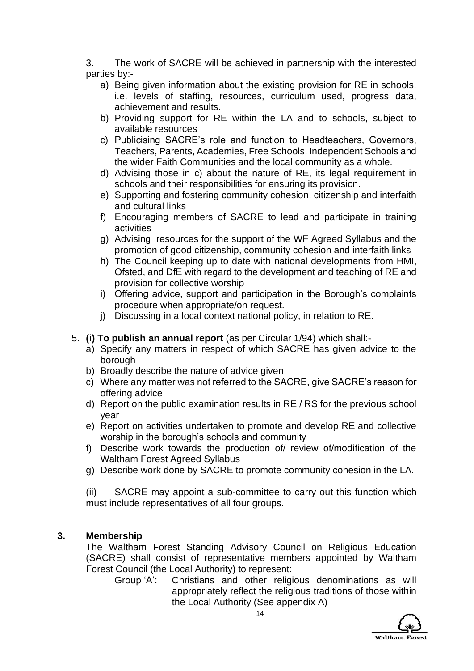3. The work of SACRE will be achieved in partnership with the interested parties by:-

- a) Being given information about the existing provision for RE in schools, i.e. levels of staffing, resources, curriculum used, progress data, achievement and results.
- b) Providing support for RE within the LA and to schools, subject to available resources
- c) Publicising SACRE's role and function to Headteachers, Governors, Teachers, Parents, Academies, Free Schools, Independent Schools and the wider Faith Communities and the local community as a whole.
- d) Advising those in c) about the nature of RE, its legal requirement in schools and their responsibilities for ensuring its provision.
- e) Supporting and fostering community cohesion, citizenship and interfaith and cultural links
- f) Encouraging members of SACRE to lead and participate in training activities
- g) Advising resources for the support of the WF Agreed Syllabus and the promotion of good citizenship, community cohesion and interfaith links
- h) The Council keeping up to date with national developments from HMI, Ofsted, and DfE with regard to the development and teaching of RE and provision for collective worship
- i) Offering advice, support and participation in the Borough's complaints procedure when appropriate/on request.
- j) Discussing in a local context national policy, in relation to RE.

### 5. **(i) To publish an annual report** (as per Circular 1/94) which shall:-

- a) Specify any matters in respect of which SACRE has given advice to the borough
- b) Broadly describe the nature of advice given
- c) Where any matter was not referred to the SACRE, give SACRE's reason for offering advice
- d) Report on the public examination results in RE / RS for the previous school year
- e) Report on activities undertaken to promote and develop RE and collective worship in the borough's schools and community
- f) Describe work towards the production of/ review of/modification of the Waltham Forest Agreed Syllabus
- g) Describe work done by SACRE to promote community cohesion in the LA.

(ii) SACRE may appoint a sub-committee to carry out this function which must include representatives of all four groups.

### **3. Membership**

The Waltham Forest Standing Advisory Council on Religious Education (SACRE) shall consist of representative members appointed by Waltham Forest Council (the Local Authority) to represent:

Group 'A': Christians and other religious denominations as will appropriately reflect the religious traditions of those within the Local Authority (See appendix A)

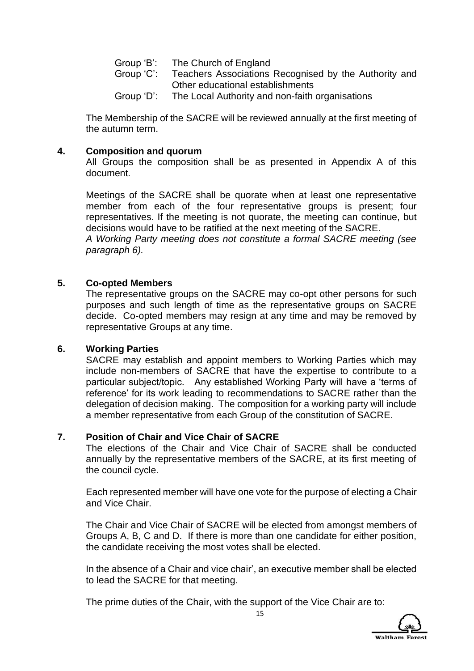| The Church of England                                 |
|-------------------------------------------------------|
| Teachers Associations Recognised by the Authority and |
| Other educational establishments                      |
| The Local Authority and non-faith organisations       |
|                                                       |

The Membership of the SACRE will be reviewed annually at the first meeting of the autumn term.

### **4. Composition and quorum**

All Groups the composition shall be as presented in Appendix A of this document.

Meetings of the SACRE shall be quorate when at least one representative member from each of the four representative groups is present; four representatives. If the meeting is not quorate, the meeting can continue, but decisions would have to be ratified at the next meeting of the SACRE.

*A Working Party meeting does not constitute a formal SACRE meeting (see paragraph 6).*

#### **5. Co-opted Members**

The representative groups on the SACRE may co-opt other persons for such purposes and such length of time as the representative groups on SACRE decide. Co-opted members may resign at any time and may be removed by representative Groups at any time.

#### **6. Working Parties**

SACRE may establish and appoint members to Working Parties which may include non-members of SACRE that have the expertise to contribute to a particular subject/topic. Any established Working Party will have a 'terms of reference' for its work leading to recommendations to SACRE rather than the delegation of decision making. The composition for a working party will include a member representative from each Group of the constitution of SACRE.

#### **7. Position of Chair and Vice Chair of SACRE**

The elections of the Chair and Vice Chair of SACRE shall be conducted annually by the representative members of the SACRE, at its first meeting of the council cycle.

Each represented member will have one vote for the purpose of electing a Chair and Vice Chair.

The Chair and Vice Chair of SACRE will be elected from amongst members of Groups A, B, C and D. If there is more than one candidate for either position, the candidate receiving the most votes shall be elected.

In the absence of a Chair and vice chair', an executive member shall be elected to lead the SACRE for that meeting.

The prime duties of the Chair, with the support of the Vice Chair are to:

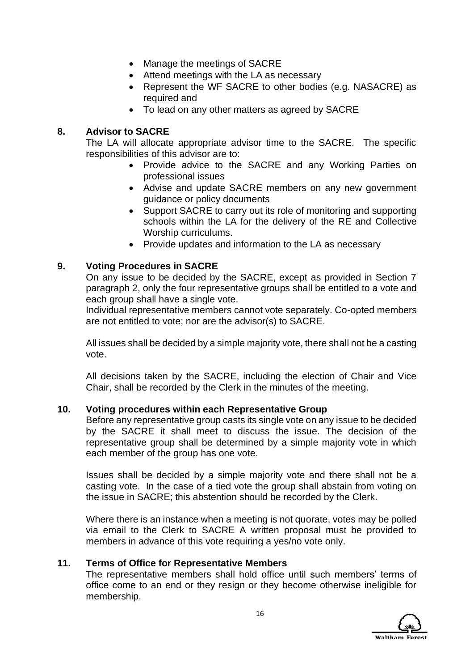- Manage the meetings of SACRE
- Attend meetings with the LA as necessary
- Represent the WF SACRE to other bodies (e.g. NASACRE) as required and
- To lead on any other matters as agreed by SACRE

### **8. Advisor to SACRE**

The LA will allocate appropriate advisor time to the SACRE. The specific responsibilities of this advisor are to:

- Provide advice to the SACRE and any Working Parties on professional issues
- Advise and update SACRE members on any new government guidance or policy documents
- Support SACRE to carry out its role of monitoring and supporting schools within the LA for the delivery of the RE and Collective Worship curriculums.
- Provide updates and information to the LA as necessary

### **9. Voting Procedures in SACRE**

On any issue to be decided by the SACRE, except as provided in Section 7 paragraph 2, only the four representative groups shall be entitled to a vote and each group shall have a single vote.

Individual representative members cannot vote separately. Co-opted members are not entitled to vote; nor are the advisor(s) to SACRE.

All issues shall be decided by a simple majority vote, there shall not be a casting vote.

All decisions taken by the SACRE, including the election of Chair and Vice Chair, shall be recorded by the Clerk in the minutes of the meeting.

#### **10. Voting procedures within each Representative Group**

Before any representative group casts its single vote on any issue to be decided by the SACRE it shall meet to discuss the issue. The decision of the representative group shall be determined by a simple majority vote in which each member of the group has one vote.

Issues shall be decided by a simple majority vote and there shall not be a casting vote. In the case of a tied vote the group shall abstain from voting on the issue in SACRE; this abstention should be recorded by the Clerk.

Where there is an instance when a meeting is not quorate, votes may be polled via email to the Clerk to SACRE A written proposal must be provided to members in advance of this vote requiring a yes/no vote only.

#### **11. Terms of Office for Representative Members**

The representative members shall hold office until such members' terms of office come to an end or they resign or they become otherwise ineligible for membership.

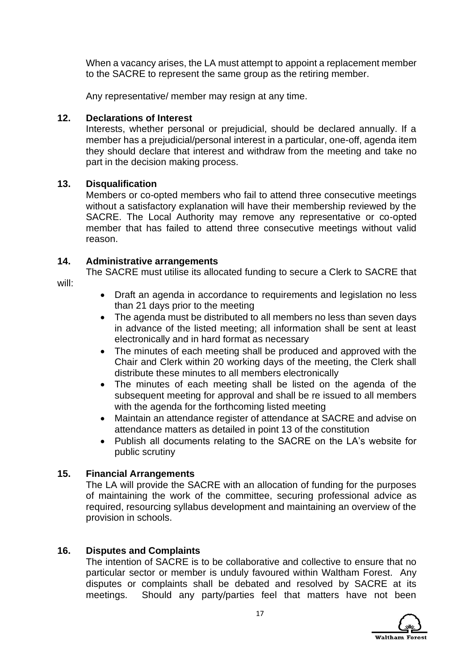When a vacancy arises, the LA must attempt to appoint a replacement member to the SACRE to represent the same group as the retiring member.

Any representative/ member may resign at any time.

### **12. Declarations of Interest**

Interests, whether personal or prejudicial, should be declared annually. If a member has a prejudicial/personal interest in a particular, one-off, agenda item they should declare that interest and withdraw from the meeting and take no part in the decision making process.

### **13. Disqualification**

Members or co-opted members who fail to attend three consecutive meetings without a satisfactory explanation will have their membership reviewed by the SACRE. The Local Authority may remove any representative or co-opted member that has failed to attend three consecutive meetings without valid reason.

### **14. Administrative arrangements**

The SACRE must utilise its allocated funding to secure a Clerk to SACRE that will:

- Draft an agenda in accordance to requirements and legislation no less than 21 days prior to the meeting
- The agenda must be distributed to all members no less than seven days in advance of the listed meeting; all information shall be sent at least electronically and in hard format as necessary
- The minutes of each meeting shall be produced and approved with the Chair and Clerk within 20 working days of the meeting, the Clerk shall distribute these minutes to all members electronically
- The minutes of each meeting shall be listed on the agenda of the subsequent meeting for approval and shall be re issued to all members with the agenda for the forthcoming listed meeting
- Maintain an attendance register of attendance at SACRE and advise on attendance matters as detailed in point 13 of the constitution
- Publish all documents relating to the SACRE on the LA's website for public scrutiny

### **15. Financial Arrangements**

The LA will provide the SACRE with an allocation of funding for the purposes of maintaining the work of the committee, securing professional advice as required, resourcing syllabus development and maintaining an overview of the provision in schools.

### **16. Disputes and Complaints**

The intention of SACRE is to be collaborative and collective to ensure that no particular sector or member is unduly favoured within Waltham Forest. Any disputes or complaints shall be debated and resolved by SACRE at its meetings. Should any party/parties feel that matters have not been